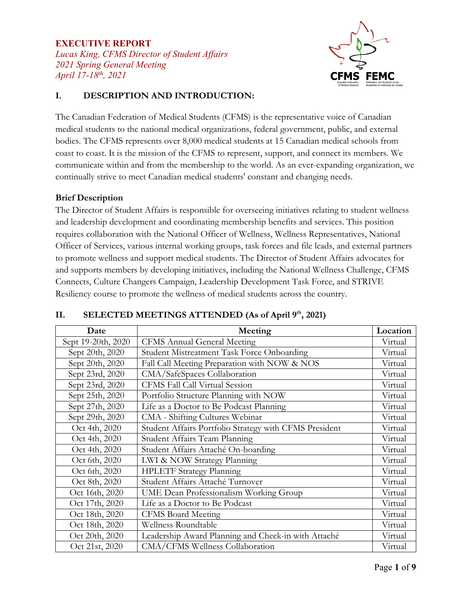*Lucas King, CFMS Director of Student Affairs 2021 Spring General Meeting April 17-18th, 2021* 



# **I. DESCRIPTION AND INTRODUCTION:**

The Canadian Federation of Medical Students (CFMS) is the representative voice of Canadian medical students to the national medical organizations, federal government, public, and external bodies. The CFMS represents over 8,000 medical students at 15 Canadian medical schools from coast to coast. It is the mission of the CFMS to represent, support, and connect its members. We communicate within and from the membership to the world. As an ever-expanding organization, we continually strive to meet Canadian medical students' constant and changing needs.

#### **Brief Description**

The Director of Student Affairs is responsible for overseeing initiatives relating to student wellness and leadership development and coordinating membership benefits and services. This position requires collaboration with the National Officer of Wellness, Wellness Representatives, National Officer of Services, various internal working groups, task forces and file leads, and external partners to promote wellness and support medical students. The Director of Student Affairs advocates for and supports members by developing initiatives, including the National Wellness Challenge, CFMS Connects, Culture Changers Campaign, Leadership Development Task Force, and STRIVE Resiliency course to promote the wellness of medical students across the country.

| Date               | Meeting                                                | Location |
|--------------------|--------------------------------------------------------|----------|
| Sept 19-20th, 2020 | <b>CFMS Annual General Meeting</b>                     | Virtual  |
| Sept 20th, 2020    | Student Mistreatment Task Force Onboarding             | Virtual  |
| Sept 20th, 2020    | Fall Call Meeting Preparation with NOW & NOS           | Virtual  |
| Sept 23rd, 2020    | CMA/SafeSpaces Collaboration                           | Virtual  |
| Sept 23rd, 2020    | CFMS Fall Call Virtual Session                         | Virtual  |
| Sept 25th, 2020    | Portfolio Structure Planning with NOW                  | Virtual  |
| Sept 27th, 2020    | Life as a Doctor to Be Podcast Planning                | Virtual  |
| Sept 29th, 2020    | CMA - Shifting Cultures Webinar                        | Virtual  |
| Oct 4th, 2020      | Student Affairs Portfolio Strategy with CFMS President | Virtual  |
| Oct 4th, 2020      | Student Affairs Team Planning                          | Virtual  |
| Oct 4th, 2020      | Student Affairs Attaché On-boarding                    | Virtual  |
| Oct 6th, 2020      | LWI & NOW Strategy Planning                            | Virtual  |
| Oct 6th, 2020      | <b>HPLETF Strategy Planning</b>                        | Virtual  |
| Oct 8th, 2020      | Student Affairs Attaché Turnover                       | Virtual  |
| Oct 16th, 2020     | UME Dean Professionalism Working Group                 | Virtual  |
| Oct 17th, 2020     | Life as a Doctor to Be Podcast                         | Virtual  |
| Oct 18th, 2020     | <b>CFMS</b> Board Meeting                              | Virtual  |
| Oct 18th, 2020     | Wellness Roundtable                                    | Virtual  |
| Oct 20th, 2020     | Leadership Award Planning and Check-in with Attaché    | Virtual  |
| Oct 21st, 2020     | CMA/CFMS Wellness Collaboration                        | Virtual  |

#### II. **SELECTED MEETINGS ATTENDED** (As of April 9<sup>th</sup>, 2021)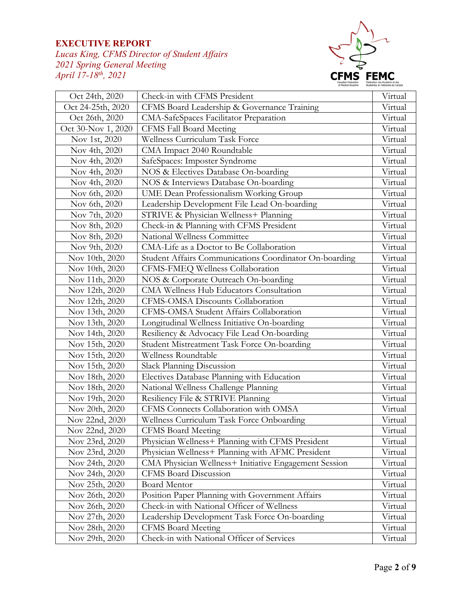*Lucas King, CFMS Director of Student Affairs 2021 Spring General Meeting April 17-18th, 2021* 



| Oct 24th, 2020     | Check-in with CFMS President                           | Virtual |
|--------------------|--------------------------------------------------------|---------|
| Oct 24-25th, 2020  | CFMS Board Leadership & Governance Training            | Virtual |
| Oct 26th, 2020     | CMA-SafeSpaces Facilitator Preparation                 | Virtual |
| Oct 30-Nov 1, 2020 | CFMS Fall Board Meeting                                | Virtual |
| Nov 1st, 2020      | Wellness Curriculum Task Force                         | Virtual |
| Nov 4th, 2020      | CMA Impact 2040 Roundtable                             | Virtual |
| Nov 4th, 2020      | SafeSpaces: Imposter Syndrome                          | Virtual |
| Nov 4th, 2020      | NOS & Electives Database On-boarding                   | Virtual |
| Nov 4th, 2020      | NOS & Interviews Database On-boarding                  | Virtual |
| Nov 6th, 2020      | UME Dean Professionalism Working Group                 | Virtual |
| Nov 6th, 2020      | Leadership Development File Lead On-boarding           | Virtual |
| Nov 7th, 2020      | STRIVE & Physician Wellness+ Planning                  | Virtual |
| Nov 8th, 2020      | Check-in & Planning with CFMS President                | Virtual |
| Nov 8th, 2020      | National Wellness Committee                            | Virtual |
| Nov 9th, 2020      | CMA-Life as a Doctor to Be Collaboration               | Virtual |
| Nov 10th, 2020     | Student Affairs Communications Coordinator On-boarding | Virtual |
| Nov 10th, 2020     | CFMS-FMEQ Wellness Collaboration                       | Virtual |
| Nov 11th, 2020     | NOS & Corporate Outreach On-boarding                   | Virtual |
| Nov 12th, 2020     | CMA Wellness Hub Educators Consultation                | Virtual |
| Nov 12th, 2020     | CFMS-OMSA Discounts Collaboration                      | Virtual |
| Nov 13th, 2020     | CFMS-OMSA Student Affairs Collaboration                | Virtual |
| Nov 13th, 2020     | Longitudinal Wellness Initiative On-boarding           | Virtual |
| Nov 14th, 2020     | Resiliency & Advocacy File Lead On-boarding            | Virtual |
| Nov 15th, 2020     | Student Mistreatment Task Force On-boarding            | Virtual |
| Nov 15th, 2020     | Wellness Roundtable                                    | Virtual |
| Nov 15th, 2020     | Slack Planning Discussion                              | Virtual |
| Nov 18th, 2020     | Electives Database Planning with Education             | Virtual |
| Nov 18th, 2020     | National Wellness Challenge Planning                   | Virtual |
| Nov 19th, 2020     | Resiliency File & STRIVE Planning                      | Virtual |
| Nov 20th, 2020     | CFMS Connects Collaboration with OMSA                  | Virtual |
| Nov 22nd, 2020     | Wellness Curriculum Task Force Onboarding              | Virtual |
| Nov 22nd, 2020     | <b>CFMS Board Meeting</b>                              | Virtual |
| Nov 23rd, 2020     | Physician Wellness+ Planning with CFMS President       | Virtual |
| Nov 23rd, 2020     | Physician Wellness+ Planning with AFMC President       | Virtual |
| Nov 24th, 2020     | CMA Physician Wellness+ Initiative Engagement Session  | Virtual |
| Nov 24th, 2020     | <b>CFMS Board Discussion</b>                           | Virtual |
| Nov 25th, 2020     | Board Mentor                                           | Virtual |
| Nov 26th, 2020     | Position Paper Planning with Government Affairs        | Virtual |
| Nov 26th, 2020     | Check-in with National Officer of Wellness             | Virtual |
| Nov 27th, 2020     | Leadership Development Task Force On-boarding          | Virtual |
| Nov 28th, 2020     | <b>CFMS Board Meeting</b>                              | Virtual |
| Nov 29th, 2020     | Check-in with National Officer of Services             | Virtual |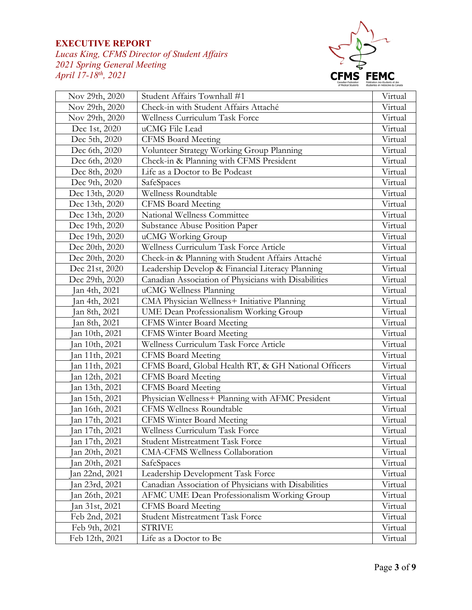*Lucas King, CFMS Director of Student Affairs 2021 Spring General Meeting April 17-18th, 2021* 



| Nov 29th, 2020 | Student Affairs Townhall #1                          | Virtual |
|----------------|------------------------------------------------------|---------|
| Nov 29th, 2020 | Check-in with Student Affairs Attaché                | Virtual |
| Nov 29th, 2020 | Wellness Curriculum Task Force                       | Virtual |
| Dec 1st, 2020  | uCMG File Lead                                       | Virtual |
| Dec 5th, 2020  | <b>CFMS Board Meeting</b>                            | Virtual |
| Dec 6th, 2020  | Volunteer Strategy Working Group Planning            | Virtual |
| Dec 6th, 2020  | Check-in & Planning with CFMS President              | Virtual |
| Dec 8th, 2020  | Life as a Doctor to Be Podcast                       | Virtual |
| Dec 9th, 2020  | SafeSpaces                                           | Virtual |
| Dec 13th, 2020 | Wellness Roundtable                                  | Virtual |
| Dec 13th, 2020 | <b>CFMS Board Meeting</b>                            | Virtual |
| Dec 13th, 2020 | National Wellness Committee                          | Virtual |
| Dec 19th, 2020 | Substance Abuse Position Paper                       | Virtual |
| Dec 19th, 2020 | uCMG Working Group                                   | Virtual |
| Dec 20th, 2020 | Wellness Curriculum Task Force Article               | Virtual |
| Dec 20th, 2020 | Check-in & Planning with Student Affairs Attaché     | Virtual |
| Dec 21st, 2020 | Leadership Develop & Financial Literacy Planning     | Virtual |
| Dec 29th, 2020 | Canadian Association of Physicians with Disabilities | Virtual |
| Jan 4th, 2021  | uCMG Wellness Planning                               | Virtual |
| Jan 4th, 2021  | CMA Physician Wellness+ Initiative Planning          | Virtual |
| Jan 8th, 2021  | UME Dean Professionalism Working Group               | Virtual |
| Jan 8th, 2021  | <b>CFMS Winter Board Meeting</b>                     | Virtual |
| an 10th, 2021  | <b>CFMS Winter Board Meeting</b>                     | Virtual |
| Jan 10th, 2021 | Wellness Curriculum Task Force Article               | Virtual |
| an 11th, 2021  | <b>CFMS Board Meeting</b>                            | Virtual |
| an 11th, 2021  | CFMS Board, Global Health RT, & GH National Officers | Virtual |
| Jan 12th, 2021 | <b>CFMS Board Meeting</b>                            | Virtual |
| an 13th, 2021  | <b>CFMS Board Meeting</b>                            | Virtual |
| an 15th, 2021  | Physician Wellness+ Planning with AFMC President     | Virtual |
| an 16th, 2021  | CFMS Wellness Roundtable                             | Virtual |
| an 17th, 2021  | <b>CFMS Winter Board Meeting</b>                     | Virtual |
| Jan 17th, 2021 | Wellness Curriculum Task Force                       | Virtual |
| an 17th, 2021  | Student Mistreatment Task Force                      | Virtual |
| an 20th, 2021  | CMA-CFMS Wellness Collaboration                      | Virtual |
| an 20th, 2021  | SafeSpaces                                           | Virtual |
| an 22nd, 2021  | Leadership Development Task Force                    | Virtual |
| an 23rd, 2021  | Canadian Association of Physicians with Disabilities | Virtual |
| an 26th, 2021  | AFMC UME Dean Professionalism Working Group          | Virtual |
| Jan 31st, 2021 | <b>CFMS Board Meeting</b>                            | Virtual |
| Feb 2nd, 2021  | Student Mistreatment Task Force                      | Virtual |
| Feb 9th, 2021  | <b>STRIVE</b>                                        | Virtual |
| Feb 12th, 2021 | Life as a Doctor to Be                               | Virtual |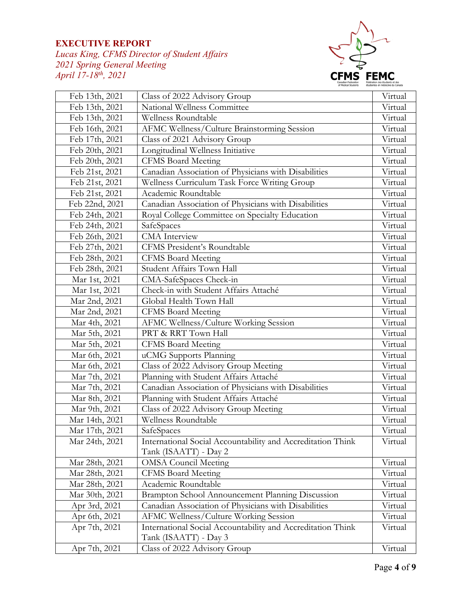*Lucas King, CFMS Director of Student Affairs 2021 Spring General Meeting April 17-18th, 2021* 



| Feb 13th, 2021 | Class of 2022 Advisory Group                                | Virtual |
|----------------|-------------------------------------------------------------|---------|
| Feb 13th, 2021 | National Wellness Committee                                 | Virtual |
| Feb 13th, 2021 | Wellness Roundtable                                         | Virtual |
| Feb 16th, 2021 | AFMC Wellness/Culture Brainstorming Session                 | Virtual |
| Feb 17th, 2021 | Class of 2021 Advisory Group                                | Virtual |
| Feb 20th, 2021 | Longitudinal Wellness Initiative                            | Virtual |
| Feb 20th, 2021 | <b>CFMS Board Meeting</b>                                   | Virtual |
| Feb 21st, 2021 | Canadian Association of Physicians with Disabilities        | Virtual |
| Feb 21st, 2021 | Wellness Curriculum Task Force Writing Group                | Virtual |
| Feb 21st, 2021 | Academic Roundtable                                         | Virtual |
| Feb 22nd, 2021 | Canadian Association of Physicians with Disabilities        | Virtual |
| Feb 24th, 2021 | Royal College Committee on Specialty Education              | Virtual |
| Feb 24th, 2021 | SafeSpaces                                                  | Virtual |
| Feb 26th, 2021 | <b>CMA</b> Interview                                        | Virtual |
| Feb 27th, 2021 | CFMS President's Roundtable                                 | Virtual |
| Feb 28th, 2021 | <b>CFMS Board Meeting</b>                                   | Virtual |
| Feb 28th, 2021 | Student Affairs Town Hall                                   | Virtual |
| Mar 1st, 2021  | CMA-SafeSpaces Check-in                                     | Virtual |
| Mar 1st, 2021  | Check-in with Student Affairs Attaché                       | Virtual |
| Mar 2nd, 2021  | Global Health Town Hall                                     | Virtual |
| Mar 2nd, 2021  | <b>CFMS Board Meeting</b>                                   | Virtual |
| Mar 4th, 2021  | AFMC Wellness/Culture Working Session                       | Virtual |
| Mar 5th, 2021  | PRT & RRT Town Hall                                         | Virtual |
| Mar 5th, 2021  | <b>CFMS Board Meeting</b>                                   | Virtual |
| Mar 6th, 2021  | uCMG Supports Planning                                      | Virtual |
| Mar 6th, 2021  | Class of 2022 Advisory Group Meeting                        | Virtual |
| Mar 7th, 2021  | Planning with Student Affairs Attaché                       | Virtual |
| Mar 7th, 2021  | Canadian Association of Physicians with Disabilities        | Virtual |
| Mar 8th, 2021  | Planning with Student Affairs Attaché                       | Virtual |
| Mar 9th, 2021  | Class of 2022 Advisory Group Meeting                        | Virtual |
| Mar 14th, 2021 | Wellness Roundtable                                         | Virtual |
| Mar 17th, 2021 | SafeSpaces                                                  | Virtual |
| Mar 24th, 2021 | International Social Accountability and Accreditation Think | Virtual |
|                | Tank (ISAATT) - Day 2                                       |         |
| Mar 28th, 2021 | <b>OMSA Council Meeting</b>                                 | Virtual |
| Mar 28th, 2021 | <b>CFMS Board Meeting</b>                                   | Virtual |
| Mar 28th, 2021 | Academic Roundtable                                         | Virtual |
| Mar 30th, 2021 | Brampton School Announcement Planning Discussion            | Virtual |
| Apr 3rd, 2021  | Canadian Association of Physicians with Disabilities        | Virtual |
| Apr 6th, 2021  | AFMC Wellness/Culture Working Session                       | Virtual |
| Apr 7th, 2021  | International Social Accountability and Accreditation Think | Virtual |
|                | Tank (ISAATT) - Day 3                                       |         |
| Apr 7th, 2021  | Class of 2022 Advisory Group                                | Virtual |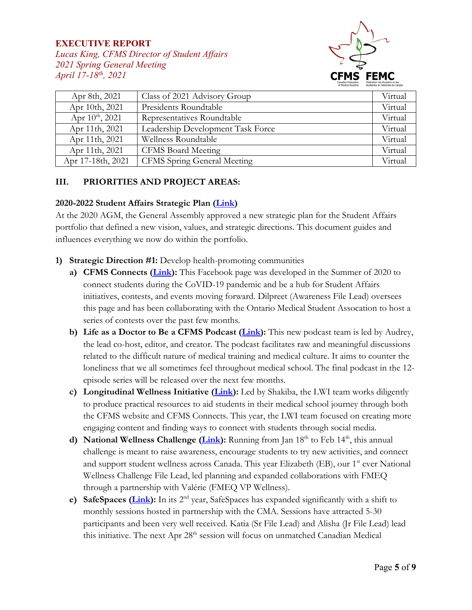*Lucas King, CFMS Director of Student Affairs 2021 Spring General Meeting April 17-18th, 2021* 



| Apr 8th, 2021        | Class of 2021 Advisory Group       | Virtual |
|----------------------|------------------------------------|---------|
| Apr 10th, 2021       | Presidents Roundtable              | Virtual |
| Apr $10^{th}$ , 2021 | Representatives Roundtable         | Virtual |
| Apr 11th, 2021       | Leadership Development Task Force  | Virtual |
| Apr 11th, 2021       | Wellness Roundtable                | Virtual |
| Apr 11th, 2021       | <b>CFMS Board Meeting</b>          | Virtual |
| Apr 17-18th, 2021    | <b>CFMS</b> Spring General Meeting | Virtual |

#### **III. PRIORITIES AND PROJECT AREAS:**

#### **2020-2022 Student Affairs Strategic Plan [\(Link\)](https://docs.google.com/document/d/1QQm8YNaoID4o7wPMdiCxc-4vhecpQQQZsNvArnPrwjE/edit?usp=sharing)**

At the 2020 AGM, the General Assembly approved a new strategic plan for the Student Affairs portfolio that defined a new vision, values, and strategic directions. This document guides and influences everything we now do within the portfolio.

- **1) Strategic Direction #1:** Develop health-promoting communities
	- **a) CFMS Connects [\(Link\)](https://www.facebook.com/groups/cfmsconnects):** This Facebook page was developed in the Summer of 2020 to connect students during the CoVID-19 pandemic and be a hub for Student Affairs initiatives, contests, and events moving forward. Dilpreet (Awareness File Lead) oversees this page and has been collaborating with the Ontario Medical Student Assocation to host a series of contests over the past few months.
	- **b) Life as a Doctor to Be a CFMS Podcast [\(Link\)](https://podcasts.apple.com/ca/podcast/cfms-podcasts/id1536794702):** This new podcast team is led by Audrey, the lead co-host, editor, and creator. The podcast facilitates raw and meaningful discussions related to the difficult nature of medical training and medical culture. It aims to counter the loneliness that we all sometimes feel throughout medical school. The final podcast in the 12 episode series will be released over the next few months.
	- **c) Longitudinal Wellness Initiative [\(Link\)](https://www.cfms.org/what-we-do/student-affairs/longitudinal-wellness-initiative):** Led by Shakiba, the LWI team works diligently to produce practical resources to aid students in their medical school journey through both the CFMS website and CFMS Connects. This year, the LWI team focused on creating more engaging content and finding ways to connect with students through social media.
	- **d) National Wellness Challenge [\(Link\)](https://www.facebook.com/groups/cfmsconnects):** Running from Jan 18<sup>th</sup> to Feb 14<sup>th</sup>, this annual challenge is meant to raise awareness, encourage students to try new activities, and connect and support student wellness across Canada. This year Elizabeth (EB), our 1<sup>st</sup> ever National Wellness Challenge File Lead, led planning and expanded collaborations with FMEQ through a partnership with Valérie (FMEQ VP Wellness).
	- **e) SafeSpaces [\(Link\)](https://www.cfms.org/what-we-do/student-affairs/safe-space):** In its 2<sup>nd</sup> year, SafeSpaces has expanded significantly with a shift to monthly sessions hosted in partnership with the CMA. Sessions have attracted 5-30 participants and been very well received. Katia (Sr File Lead) and Alisha (Jr File Lead) lead this initiative. The next Apr 28<sup>th</sup> session will focus on unmatched Canadian Medical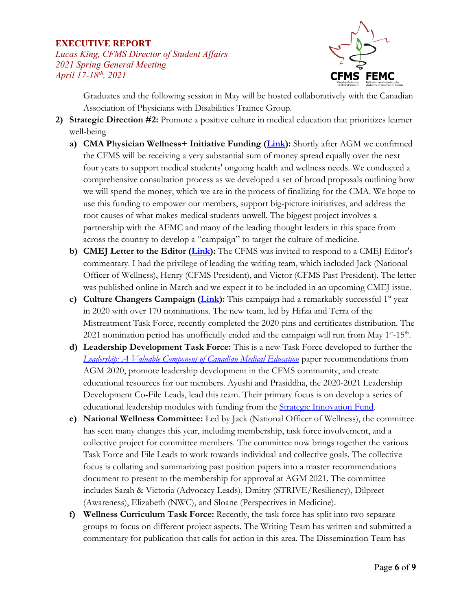*Lucas King, CFMS Director of Student Affairs 2021 Spring General Meeting April 17-18th, 2021* 



Graduates and the following session in May will be hosted collaboratively with the Canadian Association of Physicians with Disabilities Trainee Group.

- **2) Strategic Direction #2:** Promote a positive culture in medical education that prioritizes learner well-being
	- **a) CMA Physician Wellness+ Initiative Funding [\(Link\)](https://www.cma.ca/news/physician-wellness-initiative-dedicates-15-million-support-physicians-and-medical-learners):** Shortly after AGM we confirmed the CFMS will be receiving a very substantial sum of money spread equally over the next four years to support medical students' ongoing health and wellness needs. We conducted a comprehensive consultation process as we developed a set of broad proposals outlining how we will spend the money, which we are in the process of finalizing for the CMA. We hope to use this funding to empower our members, support big-picture initiatives, and address the root causes of what makes medical students unwell. The biggest project involves a partnership with the AFMC and many of the leading thought leaders in this space from across the country to develop a "campaign" to target the culture of medicine.
	- **b) CMEJ Letter to the Editor [\(Link\)](https://journalhosting.ucalgary.ca/index.php/cmej/article/view/71777):** The CFMS was invited to respond to a CMEJ Editor's commentary. I had the privilege of leading the writing team, which included Jack (National Officer of Wellness), Henry (CFMS President), and Victor (CFMS Past-President). The letter was published online in March and we expect it to be included in an upcoming CMEJ issue.
	- **c)** Culture Changers Campaign (*Link*): This campaign had a remarkably successful 1<sup>st</sup> year in 2020 with over 170 nominations. The new team, led by Hifza and Terra of the Mistreatment Task Force, recently completed the 2020 pins and certificates distribution. The 2021 nomination period has unofficially ended and the campaign will run from May  $1^{st}$ -15<sup>th</sup>.
	- **d) Leadership Development Task Force:** This is a new Task Force developed to further the *[Leadership: A Valuable Component of Canadian Medical Education](https://drive.google.com/file/d/13iwzbYvjfMoOczbv_fo9a6oa9tEyZLyK/view?usp=sharing)* paper recommendations from AGM 2020, promote leadership development in the CFMS community, and create educational resources for our members. Ayushi and Prasiddha, the 2020-2021 Leadership Development Co-File Leads, lead this team. Their primary focus is on develop a series of educational leadership modules with funding from the **Strategic Innovation Fund**.
	- **e) National Wellness Committee:** Led by Jack (National Officer of Wellness), the committee has seen many changes this year, including membership, task force involvement, and a collective project for committee members. The committee now brings together the various Task Force and File Leads to work towards individual and collective goals. The collective focus is collating and summarizing past position papers into a master recommendations document to present to the membership for approval at AGM 2021. The committee includes Sarah & Victoria (Advocacy Leads), Dmitry (STRIVE/Resiliency), Dilpreet (Awareness), Elizabeth (NWC), and Sloane (Perspectives in Medicine).
	- **f) Wellness Curriculum Task Force:** Recently, the task force has split into two separate groups to focus on different project aspects. The Writing Team has written and submitted a commentary for publication that calls for action in this area. The Dissemination Team has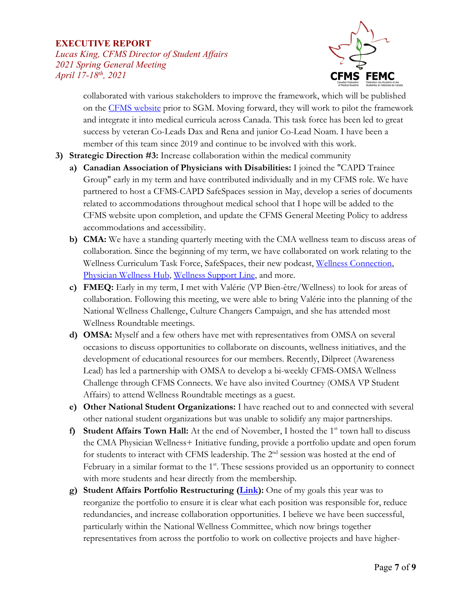*Lucas King, CFMS Director of Student Affairs 2021 Spring General Meeting April 17-18th, 2021* 



collaborated with various stakeholders to improve the framework, which will be published on the [CFMS website](https://www.cfms.org/what-we-do/student-affairs/) prior to SGM. Moving forward, they will work to pilot the framework and integrate it into medical curricula across Canada. This task force has been led to great success by veteran Co-Leads Dax and Rena and junior Co-Lead Noam. I have been a member of this team since 2019 and continue to be involved with this work.

- **3) Strategic Direction #3:** Increase collaboration within the medical community
	- **a) Canadian Association of Physicians with Disabilities:** I joined the "CAPD Trainee Group" early in my term and have contributed individually and in my CFMS role. We have partnered to host a CFMS-CAPD SafeSpaces session in May, develop a series of documents related to accommodations throughout medical school that I hope will be added to the CFMS website upon completion, and update the CFMS General Meeting Policy to address accommodations and accessibility.
	- **b) CMA:** We have a standing quarterly meeting with the CMA wellness team to discuss areas of collaboration. Since the beginning of my term, we have collaborated on work relating to the Wellness Curriculum Task Force, SafeSpaces, their new podcast, [Wellness Connection,](https://www.cma.ca/physician-health-and-wellness/wellness-connection) [Physician Wellness Hub,](https://www.cma.ca/physician-wellness-hub) [Wellness Support Line,](https://www.cma.ca/supportline) and more.
	- **c) FMEQ:** Early in my term, I met with Valérie (VP Bien-être/Wellness) to look for areas of collaboration. Following this meeting, we were able to bring Valérie into the planning of the National Wellness Challenge, Culture Changers Campaign, and she has attended most Wellness Roundtable meetings.
	- **d) OMSA:** Myself and a few others have met with representatives from OMSA on several occasions to discuss opportunities to collaborate on discounts, wellness initiatives, and the development of educational resources for our members. Recently, Dilpreet (Awareness Lead) has led a partnership with OMSA to develop a bi-weekly CFMS-OMSA Wellness Challenge through CFMS Connects. We have also invited Courtney (OMSA VP Student Affairs) to attend Wellness Roundtable meetings as a guest.
	- **e) Other National Student Organizations:** I have reached out to and connected with several other national student organizations but was unable to solidify any major partnerships.
	- **f) Student Affairs Town Hall:** At the end of November, I hosted the 1<sup>st</sup> town hall to discuss the CMA Physician Wellness+ Initiative funding, provide a portfolio update and open forum for students to interact with CFMS leadership. The 2<sup>nd</sup> session was hosted at the end of February in a similar format to the  $1<sup>st</sup>$ . These sessions provided us an opportunity to connect with more students and hear directly from the membership.
	- **g) Student Affairs Portfolio Restructuring [\(Link\)](https://drive.google.com/file/d/127e7sqLbO8Jcs6VuiSM9qz9b-al2g8o1/view?usp=sharing):** One of my goals this year was to reorganize the portfolio to ensure it is clear what each position was responsible for, reduce redundancies, and increase collaboration opportunities. I believe we have been successful, particularly within the National Wellness Committee, which now brings together representatives from across the portfolio to work on collective projects and have higher-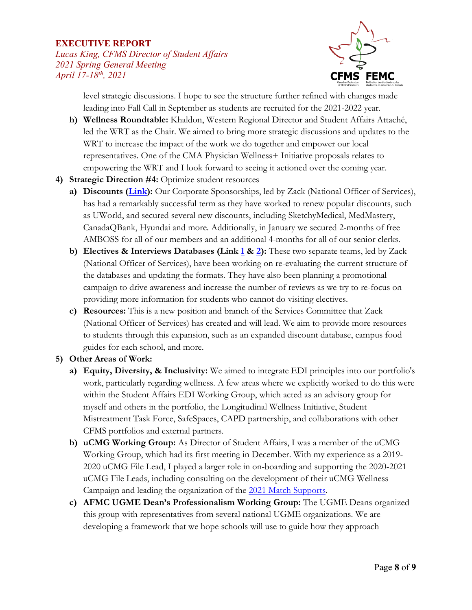*Lucas King, CFMS Director of Student Affairs 2021 Spring General Meeting April 17-18th, 2021* 



level strategic discussions. I hope to see the structure further refined with changes made leading into Fall Call in September as students are recruited for the 2021-2022 year.

- **h) Wellness Roundtable:** Khaldon, Western Regional Director and Student Affairs Attaché, led the WRT as the Chair. We aimed to bring more strategic discussions and updates to the WRT to increase the impact of the work we do together and empower our local representatives. One of the CMA Physician Wellness+ Initiative proposals relates to empowering the WRT and I look forward to seeing it actioned over the coming year.
- **4) Strategic Direction #4:** Optimize student resources
	- **a) Discounts [\(Link\)](https://www.cfms.org/resources/discounts):** Our Corporate Sponsorships, led by Zack (National Officer of Services), has had a remarkably successful term as they have worked to renew popular discounts, such as UWorld, and secured several new discounts, including SketchyMedical, MedMastery, CanadaQBank, Hyundai and more. Additionally, in January we secured 2-months of free AMBOSS for all of our members and an additional 4-months for all of our senior clerks.
	- **b) Electives & Interviews Databases (Link [1](https://www.cfms.org/databases/electives) & [2\)](https://www.cfms.org/databases/carms-interview):** These two separate teams, led by Zack (National Officer of Services), have been working on re-evaluating the current structure of the databases and updating the formats. They have also been planning a promotional campaign to drive awareness and increase the number of reviews as we try to re-focus on providing more information for students who cannot do visiting electives.
	- **c) Resources:** This is a new position and branch of the Services Committee that Zack (National Officer of Services) has created and will lead. We aim to provide more resources to students through this expansion, such as an expanded discount database, campus food guides for each school, and more.

# **5) Other Areas of Work:**

- **a) Equity, Diversity, & Inclusivity:** We aimed to integrate EDI principles into our portfolio's work, particularly regarding wellness. A few areas where we explicitly worked to do this were within the Student Affairs EDI Working Group, which acted as an advisory group for myself and others in the portfolio, the Longitudinal Wellness Initiative, Student Mistreatment Task Force, SafeSpaces, CAPD partnership, and collaborations with other CFMS portfolios and external partners.
- **b) uCMG Working Group:** As Director of Student Affairs, I was a member of the uCMG Working Group, which had its first meeting in December. With my experience as a 2019- 2020 uCMG File Lead, I played a larger role in on-boarding and supporting the 2020-2021 uCMG File Leads, including consulting on the development of their uCMG Wellness Campaign and leading the organization of the [2021 Match Supports.](https://www.cfms.org/news/2021/04/06/2021-students-unmatched-after-the-r-1-match-copie)
- **c) AFMC UGME Dean's Professionalism Working Group:** The UGME Deans organized this group with representatives from several national UGME organizations. We are developing a framework that we hope schools will use to guide how they approach